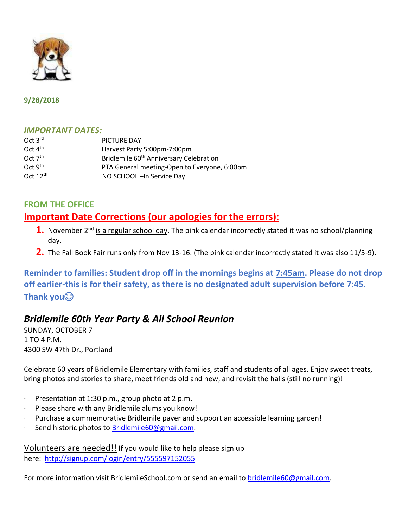

## **9/28/2018**

## *IMPORTANT DATES:*

| Oct $3rd$     | PICTURE DAY                                         |
|---------------|-----------------------------------------------------|
| Oct $4th$     | Harvest Party 5:00pm-7:00pm                         |
| Oct $7th$     | Bridlemile 60 <sup>th</sup> Anniversary Celebration |
| Oct $9th$     | PTA General meeting-Open to Everyone, 6:00pm        |
| Oct $12^{th}$ | NO SCHOOL-In Service Day                            |
|               |                                                     |

# **FROM THE OFFICE Important Date Corrections (our apologies for the errors):**

- 1. November 2<sup>nd</sup> is a regular school day. The pink calendar incorrectly stated it was no school/planning day.
- **2.** The Fall Book Fair runs only from Nov 13-16. (The pink calendar incorrectly stated it was also 11/5-9).

**Reminder to families: Student drop off in the mornings begins at 7:45am. Please do not drop off earlier-this is for their safety, as there is no designated adult supervision before 7:45. Thank you**

# *Bridlemile 60th Year Party & All School Reunion*

SUNDAY, OCTOBER 7 1 TO 4 P.M. 4300 SW 47th Dr., Portland

Celebrate 60 years of Bridlemile Elementary with families, staff and students of all ages. Enjoy sweet treats, bring photos and stories to share, meet friends old and new, and revisit the halls (still no running)!

- · Presentation at 1:30 p.m., group photo at 2 p.m.
- Please share with any Bridlemile alums you know!
- Purchase a commemorative Bridlemile paver and support an accessible learning garden!
- Send historic photos to [Bridlemile60@gmail.com.](mailto:Bridlemile60@gmail.com)

Volunteers are needed!! If you would like to help please sign up here: <http://signup.com/login/entry/555597152055>

For more information visit BridlemileSchool.com or send an email t[o bridlemile60@gmail.com.](mailto:bridlemile60@gmail.com)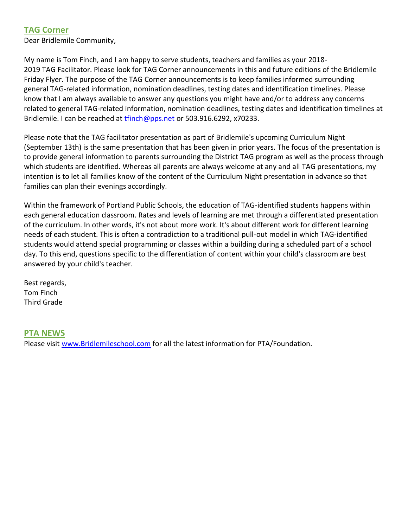# **TAG Corner**

Dear Bridlemile Community,

My name is Tom Finch, and I am happy to serve students, teachers and families as your 2018- 2019 TAG Facilitator. Please look for TAG Corner announcements in this and future editions of the Bridlemile Friday Flyer. The purpose of the TAG Corner announcements is to keep families informed surrounding general TAG-related information, nomination deadlines, testing dates and identification timelines. Please know that I am always available to answer any questions you might have and/or to address any concerns related to general TAG-related information, nomination deadlines, testing dates and identification timelines at Bridlemile. I can be reached at [tfinch@pps.net](mailto:tfinch@pps.net) or 503.916.6292, x70233.

Please note that the TAG facilitator presentation as part of Bridlemile's upcoming Curriculum Night (September 13th) is the same presentation that has been given in prior years. The focus of the presentation is to provide general information to parents surrounding the District TAG program as well as the process through which students are identified. Whereas all parents are always welcome at any and all TAG presentations, my intention is to let all families know of the content of the Curriculum Night presentation in advance so that families can plan their evenings accordingly.

Within the framework of Portland Public Schools, the education of TAG-identified students happens within each general education classroom. Rates and levels of learning are met through a differentiated presentation of the curriculum. In other words, it's not about more work. It's about different work for different learning needs of each student. This is often a contradiction to a traditional pull-out model in which TAG-identified students would attend special programming or classes within a building during a scheduled part of a school day. To this end, questions specific to the differentiation of content within your child's classroom are best answered by your child's teacher.

Best regards, Tom Finch Third Grade

## **PTA NEWS**

Please visit [www.Bridlemileschool.com](http://www.bridlemileschool.com/) for all the latest information for PTA/Foundation.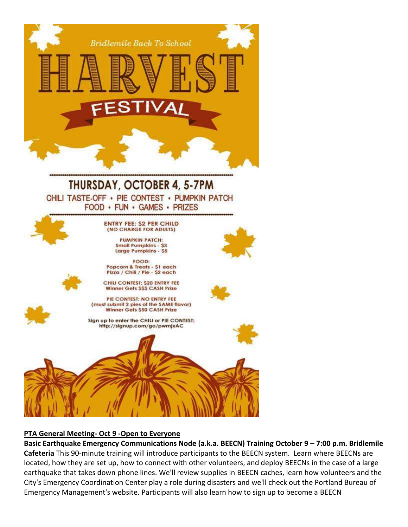

#### **PTA General Meeting- Oct 9 -Open to Everyone**

**Basic Earthquake Emergency Communications Node (a.k.a. BEECN) Training October 9 – 7:00 p.m. Bridlemile Cafeteria** This 90-minute training will introduce participants to the BEECN system. Learn where BEECNs are located, how they are set up, how to connect with other volunteers, and deploy BEECNs in the case of a large earthquake that takes down phone lines. We'll review supplies in BEECN caches, learn how volunteers and the City's Emergency Coordination Center play a role during disasters and we'll check out the Portland Bureau of Emergency Management's website. Participants will also learn how to sign up to become a BEECN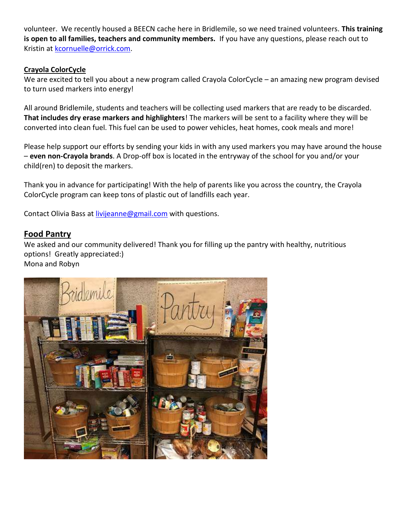volunteer. We recently housed a BEECN cache here in Bridlemile, so we need trained volunteers. **This training is open to all families, teachers and community members.** If you have any questions, please reach out to Kristin at [kcornuelle@orrick.com.](mailto:kcornuelle@orrick.com)

## **Crayola ColorCycle**

We are excited to tell you about a new program called Crayola ColorCycle – an amazing new program devised to turn used markers into energy!

All around Bridlemile, students and teachers will be collecting used markers that are ready to be discarded. **That includes dry erase markers and highlighters**! The markers will be sent to a facility where they will be converted into clean fuel. This fuel can be used to power vehicles, heat homes, cook meals and more!

Please help support our efforts by sending your kids in with any used markers you may have around the house – **even non-Crayola brands**. A Drop-off box is located in the entryway of the school for you and/or your child(ren) to deposit the markers.

Thank you in advance for participating! With the help of parents like you across the country, the Crayola ColorCycle program can keep tons of plastic out of landfills each year.

Contact Olivia Bass at [livijeanne@gmail.com](mailto:livijeanne@gmail.com) with questions.

# **Food Pantry**

We asked and our community delivered! Thank you for filling up the pantry with healthy, nutritious options! Greatly appreciated:)

Mona and Robyn

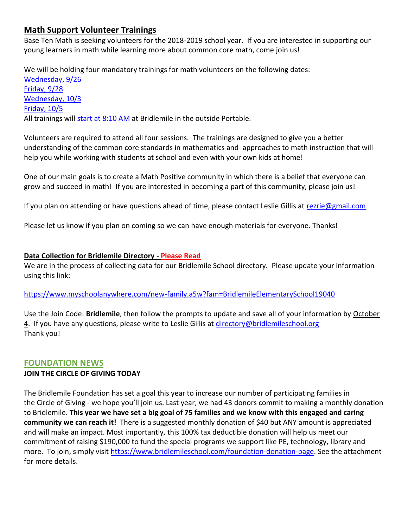# **Math Support Volunteer Trainings**

Base Ten Math is seeking volunteers for the 2018-2019 school year. If you are interested in supporting our young learners in math while learning more about common core math, come join us!

We will be holding four mandatory trainings for math volunteers on the following dates: [Wednesday, 9/26](x-apple-data-detectors://21/) [Friday, 9/28](x-apple-data-detectors://22/) [Wednesday, 10/3](x-apple-data-detectors://23/) [Friday, 10/5](x-apple-data-detectors://24/) All trainings will [start at 8:10 AM](x-apple-data-detectors://25/) at Bridlemile in the outside Portable.

Volunteers are required to attend all four sessions. The trainings are designed to give you a better understanding of the common core standards in mathematics and approaches to math instruction that will help you while working with students at school and even with your own kids at home!

One of our main goals is to create a Math Positive community in which there is a belief that everyone can grow and succeed in math! If you are interested in becoming a part of this community, please join us!

If you plan on attending or have questions ahead of time, please contact Leslie Gillis at [rezrie@gmail.com](mailto:rezrie@gmail.com)

Please let us know if you plan on coming so we can have enough materials for everyone. Thanks!

#### **Data Collection for Bridlemile Directory - Please Read**

We are in the process of collecting data for our Bridlemile School directory. Please update your information using this link:

<https://www.myschoolanywhere.com/new-family.a5w?fam=BridlemileElementarySchool19040>

Use the Join Code: **Bridlemile**, then follow the prompts to update and save all of your information by October 4. If you have any questions, please write to Leslie Gillis at [directory@bridlemileschool.org](mailto:directory@bridlemileschool.org) Thank you!

## **FOUNDATION NEWS**

## **JOIN THE CIRCLE OF GIVING TODAY**

The Bridlemile Foundation has set a goal this year to increase our number of participating families in the Circle of Giving - we hope you'll join us. Last year, we had 43 donors commit to making a monthly donation to Bridlemile. **This year we have set a big goal of 75 families and we know with this engaged and caring community we can reach it!** There is a suggested monthly donation of \$40 but ANY amount is appreciated and will make an impact. Most importantly, this 100% tax deductible donation will help us meet our commitment of raising \$190,000 to fund the special programs we support like PE, technology, library and more. To join, simply visit [https://www.bridlemileschool.com/foundation-donation-page.](https://www.bridlemileschool.com/foundation-donation-page) See the attachment for more details.